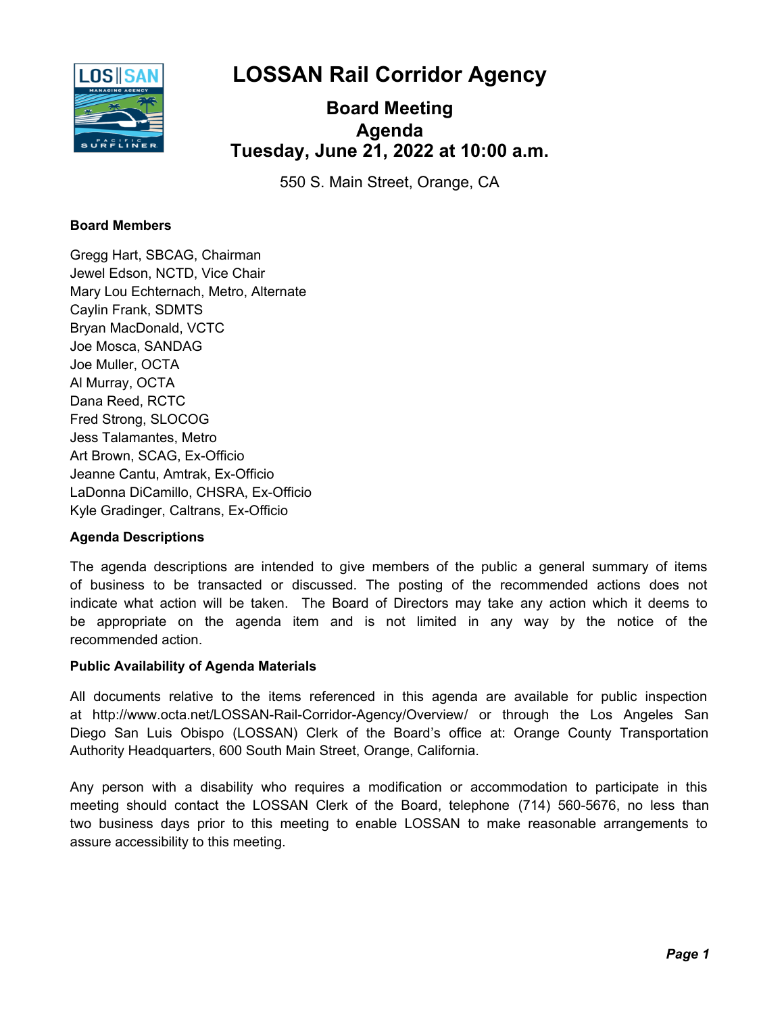**LOSSAN Rail Corridor Agency**



# **Board Meeting Tuesday, June 21, 2022 at 10:00 a.m. Agenda**

550 S. Main Street, Orange, CA

# **Board Members**

Gregg Hart, SBCAG, Chairman Jewel Edson, NCTD, Vice Chair Mary Lou Echternach, Metro, Alternate Caylin Frank, SDMTS Bryan MacDonald, VCTC Joe Mosca, SANDAG Joe Muller, OCTA Al Murray, OCTA Dana Reed, RCTC Fred Strong, SLOCOG Jess Talamantes, Metro Art Brown, SCAG, Ex-Officio Jeanne Cantu, Amtrak, Ex-Officio LaDonna DiCamillo, CHSRA, Ex-Officio Kyle Gradinger, Caltrans, Ex-Officio

# **Agenda Descriptions**

The agenda descriptions are intended to give members of the public a general summary of items of business to be transacted or discussed. The posting of the recommended actions does not indicate what action will be taken. The Board of Directors may take any action which it deems to be appropriate on the agenda item and is not limited in any way by the notice of the recommended action.

# **Public Availability of Agenda Materials**

All documents relative to the items referenced in this agenda are available for public inspection at http://www.octa.net/LOSSAN-Rail-Corridor-Agency/Overview/ or through the Los Angeles San Diego San Luis Obispo (LOSSAN) Clerk of the Board's office at: Orange County Transportation Authority Headquarters, 600 South Main Street, Orange, California.

Any person with a disability who requires a modification or accommodation to participate in this meeting should contact the LOSSAN Clerk of the Board, telephone (714) 560-5676, no less than two business days prior to this meeting to enable LOSSAN to make reasonable arrangements to assure accessibility to this meeting.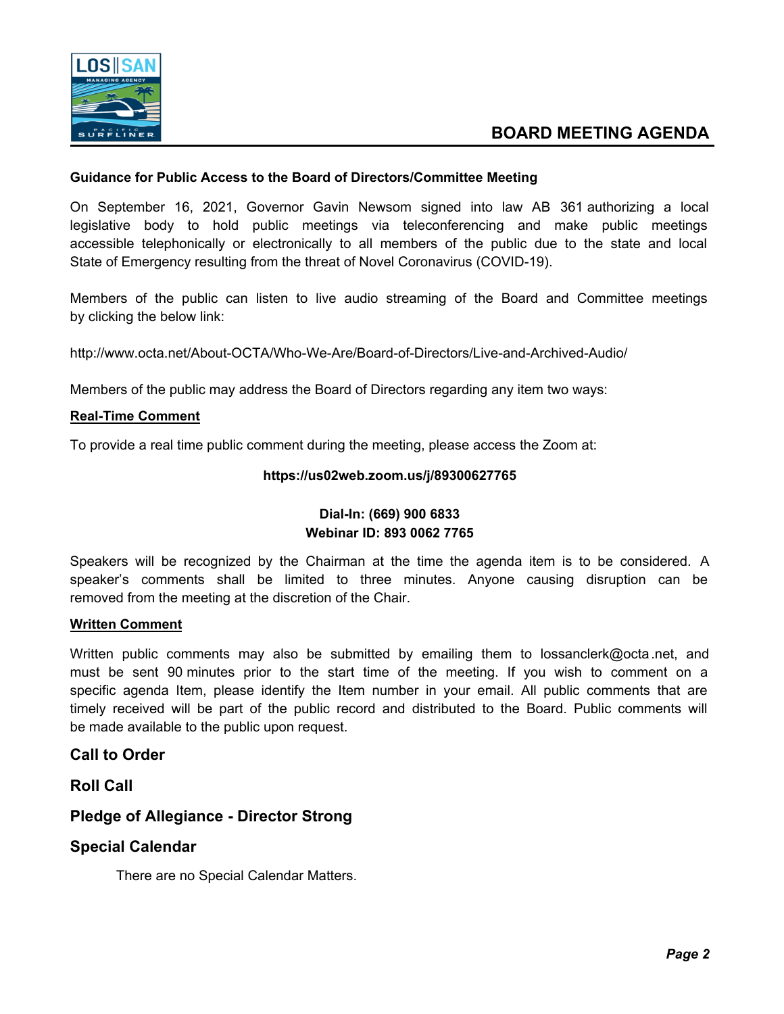

#### **Guidance for Public Access to the Board of Directors/Committee Meeting**

On September 16, 2021, Governor Gavin Newsom signed into law AB 361 authorizing a local legislative body to hold public meetings via teleconferencing and make public meetings accessible telephonically or electronically to all members of the public due to the state and local State of Emergency resulting from the threat of Novel Coronavirus (COVID-19).

Members of the public can listen to live audio streaming of the Board and Committee meetings by clicking the below link:

http://www.octa.net/About-OCTA/Who-We-Are/Board-of-Directors/Live-and-Archived-Audio/

Members of the public may address the Board of Directors regarding any item two ways:

#### **Real-Time Comment**

To provide a real time public comment during the meeting, please access the Zoom at:

#### **https://us02web.zoom.us/j/89300627765**

# **Dial-In: (669) 900 6833 Webinar ID: 893 0062 7765**

Speakers will be recognized by the Chairman at the time the agenda item is to be considered. A speaker's comments shall be limited to three minutes. Anyone causing disruption can be removed from the meeting at the discretion of the Chair.

#### **Written Comment**

Written public comments may also be submitted by emailing them to lossanclerk@octa.net, and must be sent 90 minutes prior to the start time of the meeting. If you wish to comment on a specific agenda Item, please identify the Item number in your email. All public comments that are timely received will be part of the public record and distributed to the Board. Public comments will be made available to the public upon request.

# **Call to Order**

**Roll Call**

# **Pledge of Allegiance - Director Strong**

# **Special Calendar**

There are no Special Calendar Matters.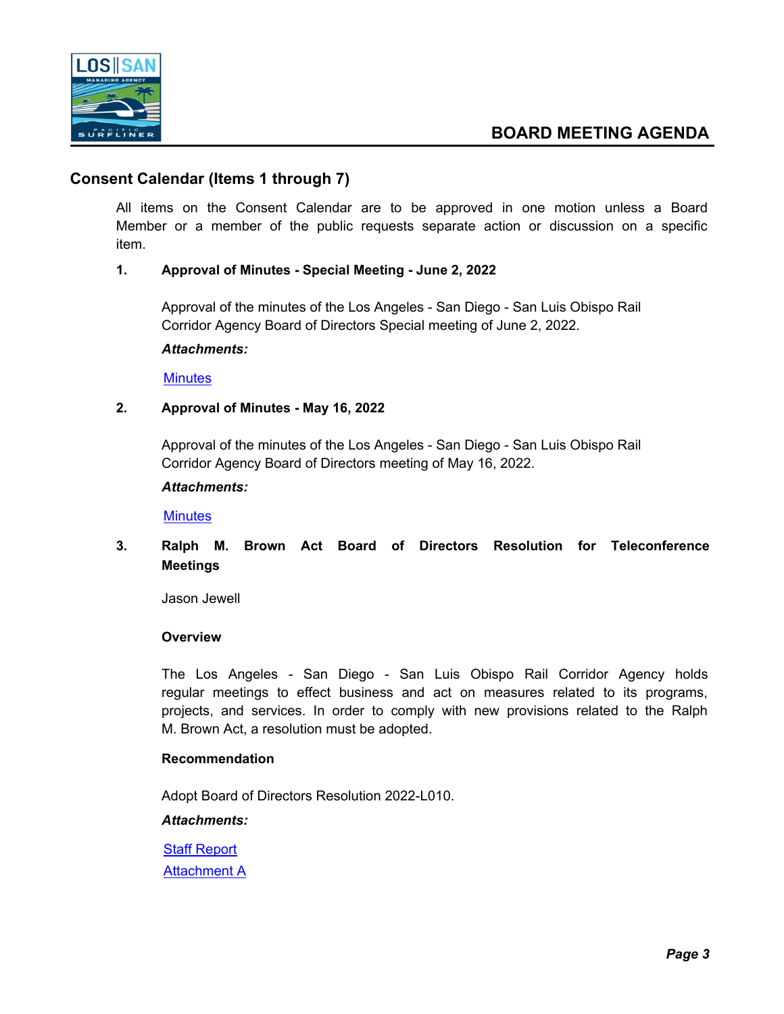

# **Consent Calendar (Items 1 through 7)**

All items on the Consent Calendar are to be approved in one motion unless a Board Member or a member of the public requests separate action or discussion on a specific item.

# **1. Approval of Minutes - Special Meeting - June 2, 2022**

Approval of the minutes of the Los Angeles - San Diego - San Luis Obispo Rail Corridor Agency Board of Directors Special meeting of June 2, 2022.

*Attachments:*

**[Minutes](http://lossan.legistar.com/gateway.aspx?M=F&ID=a3058516-99e7-4d68-bb11-ca3d4428fc31.docx)** 

# **2. Approval of Minutes - May 16, 2022**

Approval of the minutes of the Los Angeles - San Diego - San Luis Obispo Rail Corridor Agency Board of Directors meeting of May 16, 2022.

#### *Attachments:*

**[Minutes](http://lossan.legistar.com/gateway.aspx?M=F&ID=4366742b-889e-4150-bf45-5fd03ab9dce3.docx)** 

# **3. Ralph M. Brown Act Board of Directors Resolution for Teleconference Meetings**

Jason Jewell

# **Overview**

The Los Angeles - San Diego - San Luis Obispo Rail Corridor Agency holds regular meetings to effect business and act on measures related to its programs, projects, and services. In order to comply with new provisions related to the Ralph M. Brown Act, a resolution must be adopted.

# **Recommendation**

Adopt Board of Directors Resolution 2022-L010.

*Attachments:*

[Staff Report](http://lossan.legistar.com/gateway.aspx?M=F&ID=e0f39c85-23fb-4bef-b907-30d3411230a9.docx) [Attachment A](http://lossan.legistar.com/gateway.aspx?M=F&ID=8a3ceaad-3806-46d7-b652-f9b6b959188e.docx)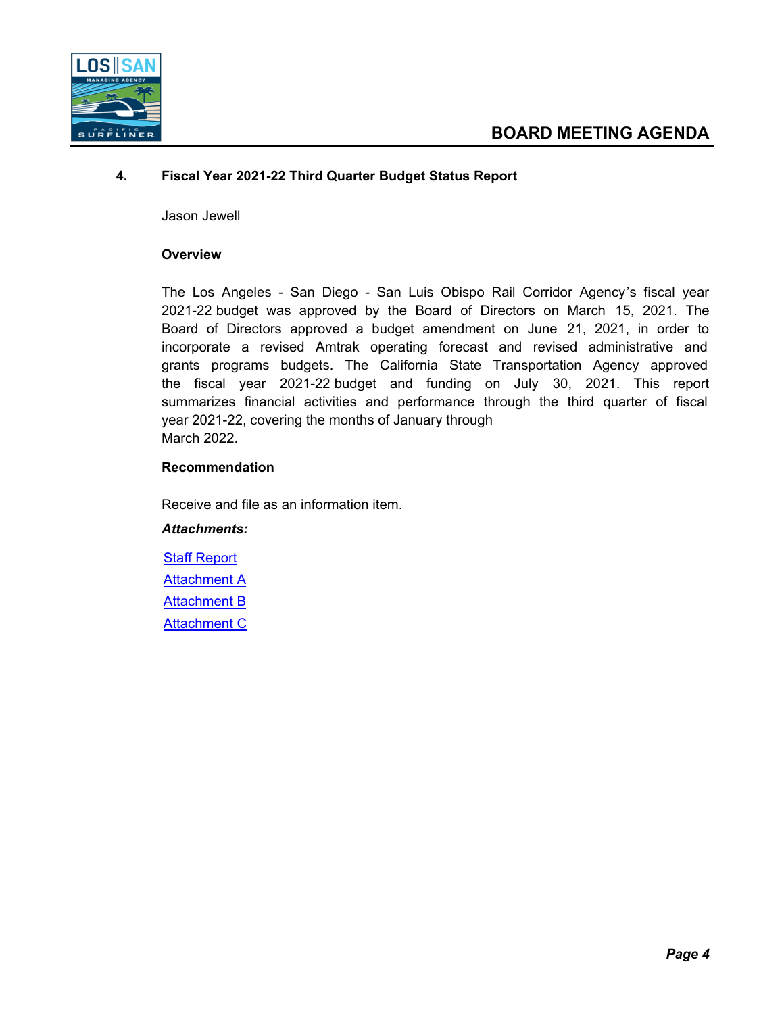

# **4. Fiscal Year 2021-22 Third Quarter Budget Status Report**

Jason Jewell

#### **Overview**

The Los Angeles - San Diego - San Luis Obispo Rail Corridor Agency's fiscal year 2021-22 budget was approved by the Board of Directors on March 15, 2021. The Board of Directors approved a budget amendment on June 21, 2021, in order to incorporate a revised Amtrak operating forecast and revised administrative and grants programs budgets. The California State Transportation Agency approved the fiscal year 2021-22 budget and funding on July 30, 2021. This report summarizes financial activities and performance through the third quarter of fiscal year 2021-22, covering the months of January through March 2022.

#### **Recommendation**

Receive and file as an information item.

# *Attachments:*

[Staff Report](http://lossan.legistar.com/gateway.aspx?M=F&ID=8c844221-11f3-48ab-a50a-09b1649750c0.pdf) **[Attachment A](http://lossan.legistar.com/gateway.aspx?M=F&ID=691a75dc-3a4a-4906-927d-3a6733383008.pdf)** [Attachment B](http://lossan.legistar.com/gateway.aspx?M=F&ID=fb735248-9d4c-4298-a5eb-7a324f9f0f68.pdf) **[Attachment C](http://lossan.legistar.com/gateway.aspx?M=F&ID=3fc2f08b-2a4f-47d6-b37a-64f58f401bb7.pdf)**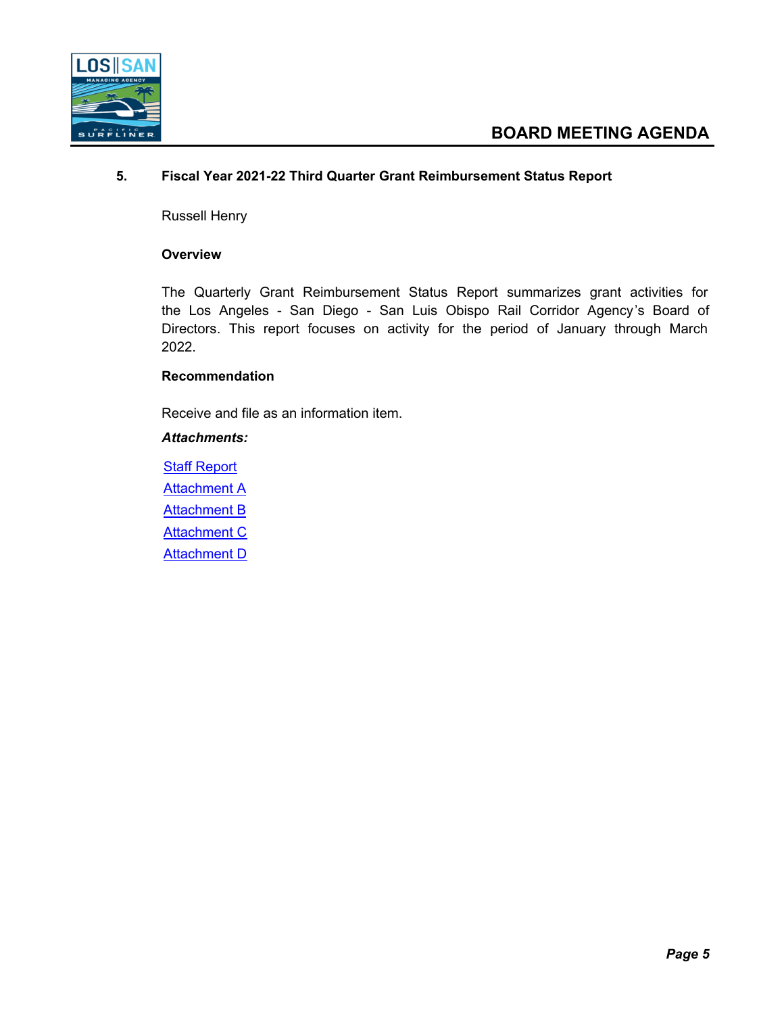

# **5. Fiscal Year 2021-22 Third Quarter Grant Reimbursement Status Report**

Russell Henry

#### **Overview**

The Quarterly Grant Reimbursement Status Report summarizes grant activities for the Los Angeles - San Diego - San Luis Obispo Rail Corridor Agency's Board of Directors. This report focuses on activity for the period of January through March 2022.

# **Recommendation**

Receive and file as an information item.

#### *Attachments:*

**[Staff Report](http://lossan.legistar.com/gateway.aspx?M=F&ID=d022628b-4c12-4cbe-a970-ea64c369e52d.pdf) [Attachment A](http://lossan.legistar.com/gateway.aspx?M=F&ID=9f0fca31-0df6-4303-acbc-d3b2a1bfd1b1.pdf)** [Attachment B](http://lossan.legistar.com/gateway.aspx?M=F&ID=b9b819d1-8b9f-4066-b994-e0f803461010.pdf) **[Attachment C](http://lossan.legistar.com/gateway.aspx?M=F&ID=8ad2eac5-d0f9-4772-9f34-9b99aa4c5ab9.pdf) [Attachment D](http://lossan.legistar.com/gateway.aspx?M=F&ID=97c43d3e-50f8-4f0b-a3e3-7426a78153c5.pdf)**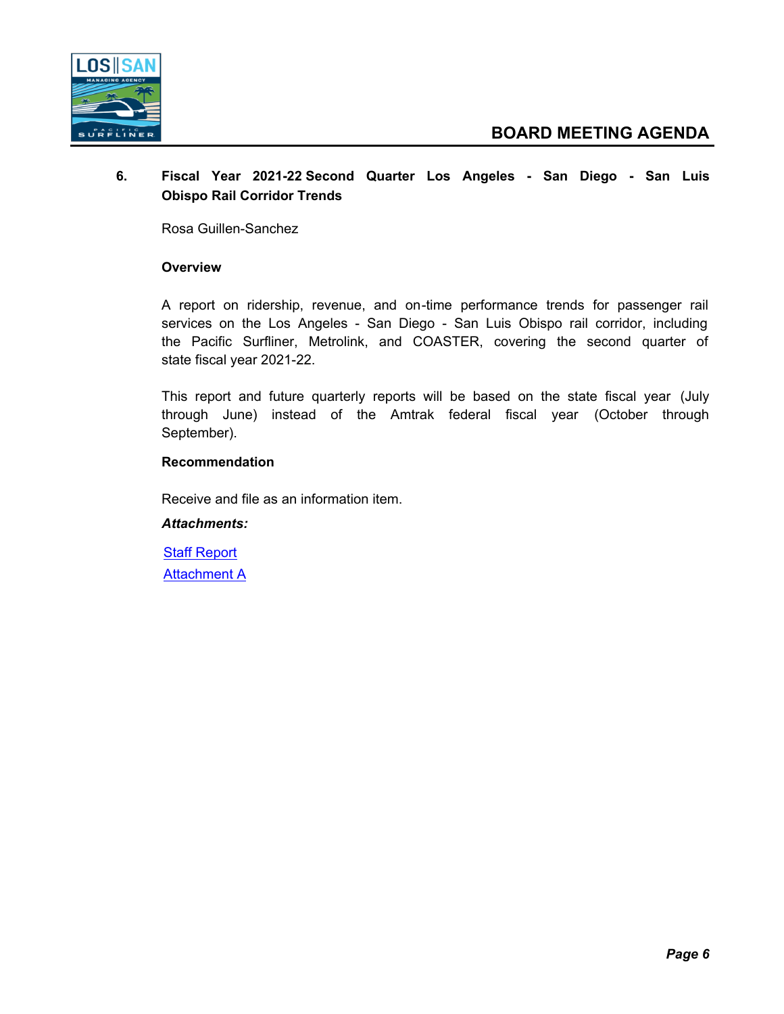

# **6. Fiscal Year 2021-22 Second Quarter Los Angeles - San Diego - San Luis Obispo Rail Corridor Trends**

Rosa Guillen-Sanchez

# **Overview**

A report on ridership, revenue, and on-time performance trends for passenger rail services on the Los Angeles - San Diego - San Luis Obispo rail corridor, including the Pacific Surfliner, Metrolink, and COASTER, covering the second quarter of state fiscal year 2021-22.

This report and future quarterly reports will be based on the state fiscal year (July through June) instead of the Amtrak federal fiscal year (October through September).

#### **Recommendation**

Receive and file as an information item.

#### *Attachments:*

**[Staff Report](http://lossan.legistar.com/gateway.aspx?M=F&ID=d3cad76d-db53-44b2-85fe-2b5cc7f1719e.docx)** [Attachment A](http://lossan.legistar.com/gateway.aspx?M=F&ID=e77d6325-a3be-4e90-a643-d0024555dd8d.pdf)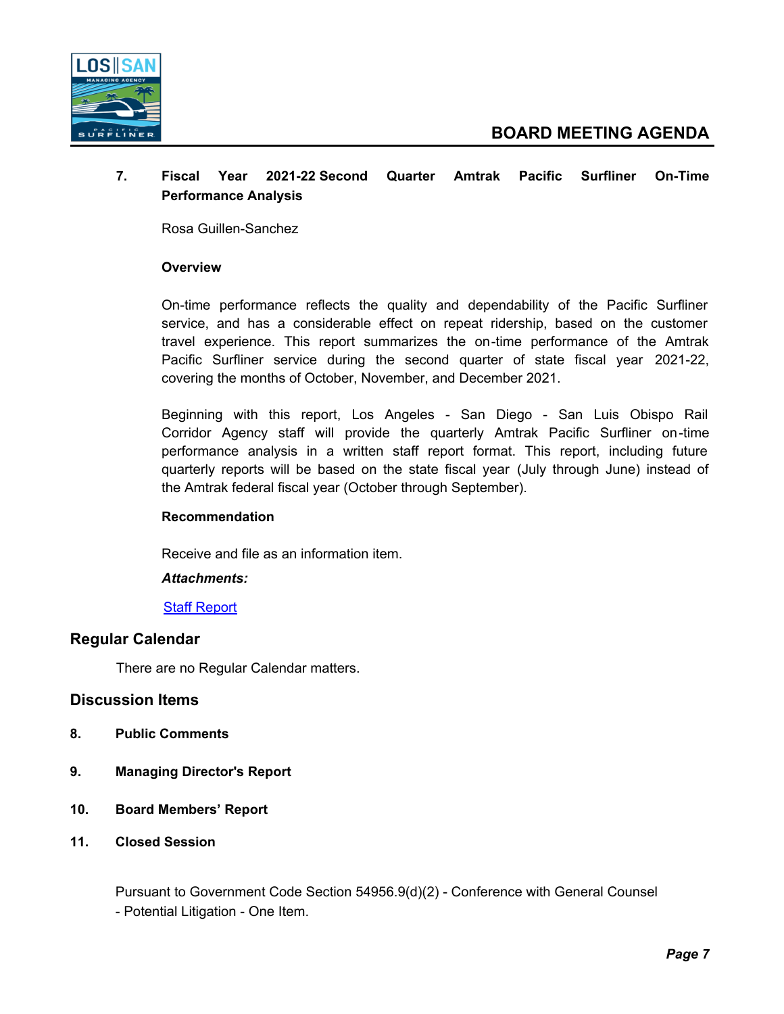

# **7. Fiscal Year 2021-22 Second Quarter Amtrak Pacific Surfliner On-Time Performance Analysis**

Rosa Guillen-Sanchez

# **Overview**

On-time performance reflects the quality and dependability of the Pacific Surfliner service, and has a considerable effect on repeat ridership, based on the customer travel experience. This report summarizes the on-time performance of the Amtrak Pacific Surfliner service during the second quarter of state fiscal year 2021-22, covering the months of October, November, and December 2021.

Beginning with this report, Los Angeles - San Diego - San Luis Obispo Rail Corridor Agency staff will provide the quarterly Amtrak Pacific Surfliner on-time performance analysis in a written staff report format. This report, including future quarterly reports will be based on the state fiscal year (July through June) instead of the Amtrak federal fiscal year (October through September).

# **Recommendation**

Receive and file as an information item.

# *Attachments:*

#### [Staff Report](http://lossan.legistar.com/gateway.aspx?M=F&ID=fd49208c-74ea-4138-960d-fa60d928f17d.pdf)

# **Regular Calendar**

There are no Regular Calendar matters.

# **Discussion Items**

- **8. Public Comments**
- **9. Managing Director's Report**
- **10. Board Members' Report**
- **11. Closed Session**

Pursuant to Government Code Section 54956.9(d)(2) - Conference with General Counsel - Potential Litigation - One Item.